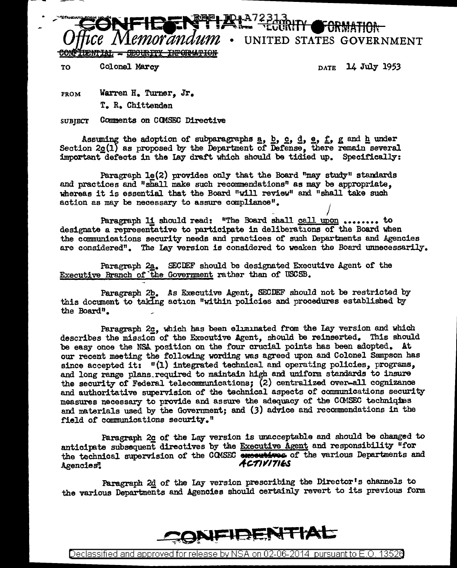

TO Colonel Marcy **DATE** 14 July 1953

FROM Warren H. Turner, Jr. T. R. Chittenden

SUBJECT Comments on COMSEC Directive

Assuming the adoption of subparagraphs  $\underline{a}, \underline{b}, \underline{c}, \underline{d}, \underline{e}, f$ , g and h under Section  $2g(1)$  as proposed by the Department of Defense, there remain several important detects in the lay draft which should be tidied up. Specifically:

Paragraph  $1e(2)$  provides only that the Board "may study" standards and practices and "shall make such recommendations" as may be appropriate. whereas it is essential that the Board "will review" and "shall take such action as may be necessary to assure canpliance".

 $\frac{1}{2}$  / Paragraph li should read: "The Board shall call upon • • • • • • • • to designate a representative to participate in deliberations of the Board when the communications security needs and practices of such Departments and Agencies are considered". The Lay version is considered to weaken the Board tmnecessarily.

Paragraph 2a. SECDEF should be designated Executive Agent of the Executive Branch of"the Government rather than of USCSB.

Paragraph 2b. As Executive Agent. SECDEF should not be restricted by this document to taking action "within policies and procedures established by the Board".

Paragraph 2g, which has been eliminated from the Lay version and which describes the mission of the Executive Agent, should be reinserted. This should be easy once the NSA position on the four crucial points has been adopted. At our recent meeting the following wording was agreed upon and Colonel Sampson has since accepted it: "(1) integrated technical and operating policies, programs, and long range plans\_required to maintain high and unifom standards to insure the security of Federal telecommunications; (2) centralized over-all cognizance and authoritative supervision of the technical aspects of communications security measures necessary to provide and assure the adequacy of the CCMSEC techniques and materials used by the Government; and (3) advice and recommendations in the field of communications security."

Paragraph 2g of the Lay version is unacceptable and should be changed to anticipate subsequent directives by the Executive Agent and responsibility "for the technical supervision of the COMSEC supervisions of the various Departments and Agencies" <br>Activities

Paragraph 2d of the Lay version prescribing the Director's channels to the various Departments and Agencies should certainly revert to its previous form



Declassified and approved for release by NSA on 02-06-2014 pursuantto E.O. 1352a